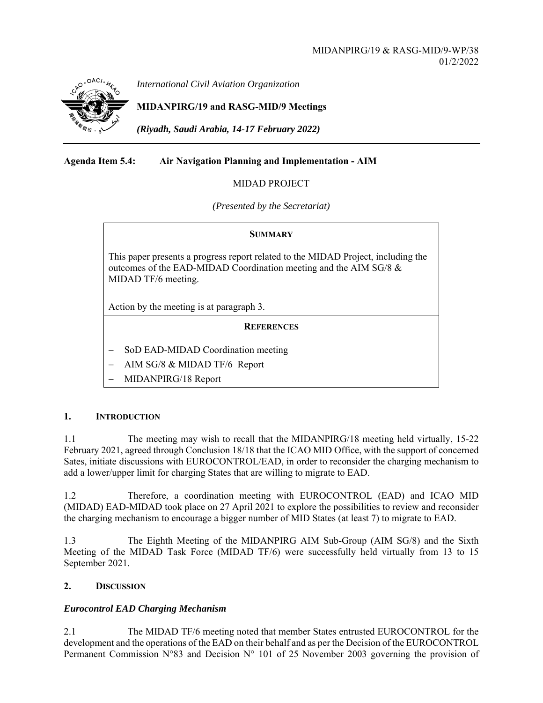

*International Civil Aviation Organization*

## **MIDANPIRG/19 and RASG-MID/9 Meetings**

*(Riyadh, Saudi Arabia, 14-17 February 2022)* 

### **Agenda Item 5.4: Air Navigation Planning and Implementation - AIM**

### MIDAD PROJECT

*(Presented by the Secretariat)* 

# **SUMMARY**

This paper presents a progress report related to the MIDAD Project, including the outcomes of the EAD-MIDAD Coordination meeting and the AIM SG/8 & MIDAD TF/6 meeting.

Action by the meeting is at paragraph 3.

### **REFERENCES**

- SoD EAD-MIDAD Coordination meeting
- AIM SG/8 & MIDAD TF/6 Report
- MIDANPIRG/18 Report

### **1. INTRODUCTION**

1.1 The meeting may wish to recall that the MIDANPIRG/18 meeting held virtually, 15-22 February 2021, agreed through Conclusion 18/18 that the ICAO MID Office, with the support of concerned Sates, initiate discussions with EUROCONTROL/EAD, in order to reconsider the charging mechanism to add a lower/upper limit for charging States that are willing to migrate to EAD.

1.2 Therefore, a coordination meeting with EUROCONTROL (EAD) and ICAO MID (MIDAD) EAD-MIDAD took place on 27 April 2021 to explore the possibilities to review and reconsider the charging mechanism to encourage a bigger number of MID States (at least 7) to migrate to EAD.

1.3 The Eighth Meeting of the MIDANPIRG AIM Sub-Group (AIM SG/8) and the Sixth Meeting of the MIDAD Task Force (MIDAD TF/6) were successfully held virtually from 13 to 15 September 2021.

### **2. DISCUSSION**

### *Eurocontrol EAD Charging Mechanism*

2.1 The MIDAD TF/6 meeting noted that member States entrusted EUROCONTROL for the development and the operations of the EAD on their behalf and as per the Decision of the EUROCONTROL Permanent Commission N°83 and Decision N° 101 of 25 November 2003 governing the provision of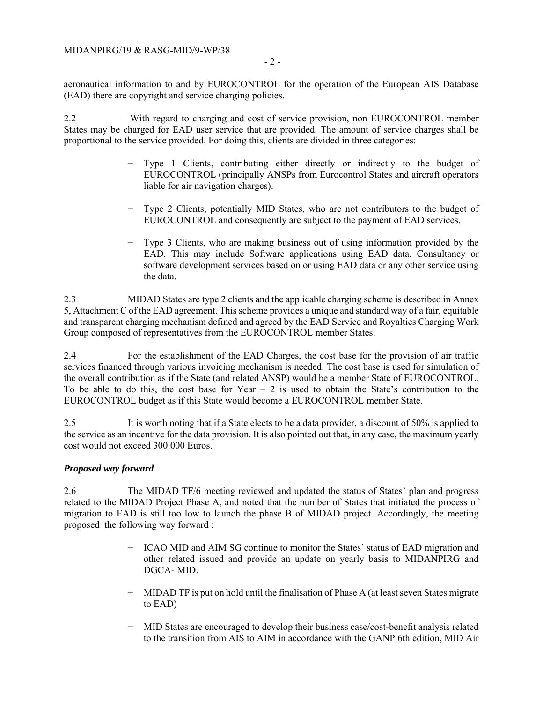aeronautical information to and by EUROCONTROL for the operation of the European AIS Database (EAD) there are copyright and service charging policies.

2.2 With regard to charging and cost of service provision, non EUROCONTROL member States may be charged for EAD user service that are provided. The amount of service charges shall be proportional to the service provided. For doing this, clients are divided in three categories:

- Type 1 Clients, contributing either directly or indirectly to the budget of EUROCONTROL (principally ANSPs from Eurocontrol States and aircraft operators liable for air navigation charges).
- Type 2 Clients, potentially MID States, who are not contributors to the budget of EUROCONTROL and consequently are subject to the payment of EAD services.
- − Type 3 Clients, who are making business out of using information provided by the EAD. This may include Software applications using EAD data, Consultancy or software development services based on or using EAD data or any other service using the data.

2.3 MIDAD States are type 2 clients and the applicable charging scheme is described in Annex 5, Attachment C of the EAD agreement. This scheme provides a unique and standard way of a fair, equitable and transparent charging mechanism defined and agreed by the EAD Service and Royalties Charging Work Group composed of representatives from the EUROCONTROL member States.

2.4 For the establishment of the EAD Charges, the cost base for the provision of air traffic services financed through various invoicing mechanism is needed. The cost base is used for simulation of the overall contribution as if the State (and related ANSP) would be a member State of EUROCONTROL. To be able to do this, the cost base for Year  $-2$  is used to obtain the State's contribution to the EUROCONTROL budget as if this State would become a EUROCONTROL member State.

2.5 It is worth noting that if a State elects to be a data provider, a discount of 50% is applied to the service as an incentive for the data provision. It is also pointed out that, in any case, the maximum yearly cost would not exceed 300.000 Euros.

### *Proposed way forward*

2.6 The MIDAD TF/6 meeting reviewed and updated the status of States' plan and progress related to the MIDAD Project Phase A, and noted that the number of States that initiated the process of migration to EAD is still too low to launch the phase B of MIDAD project. Accordingly, the meeting proposed the following way forward :

- − ICAO MID and AIM SG continue to monitor the States' status of EAD migration and other related issued and provide an update on yearly basis to MIDANPIRG and DGCA- MID.
- MIDAD TF is put on hold until the finalisation of Phase A (at least seven States migrate to EAD)
- − MID States are encouraged to develop their business case/cost-benefit analysis related to the transition from AIS to AIM in accordance with the GANP 6th edition, MID Air

- 2 -